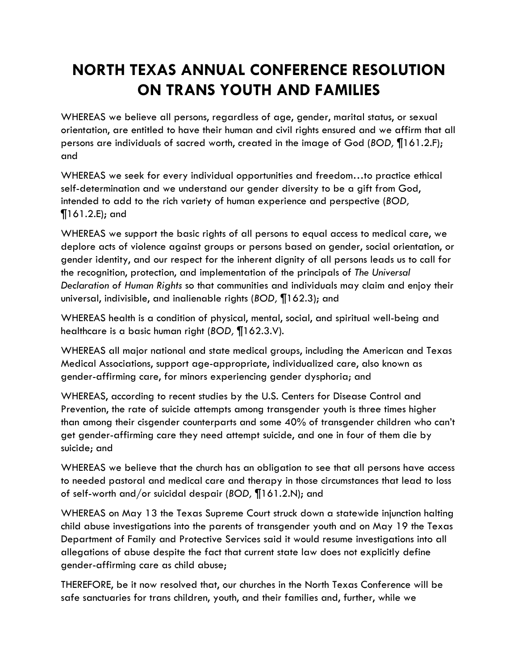## **NORTH TEXAS ANNUAL CONFERENCE RESOLUTION ON TRANS YOUTH AND FAMILIES**

WHEREAS we believe all persons, regardless of age, gender, marital status, or sexual orientation, are entitled to have their human and civil rights ensured and we affirm that all persons are individuals of sacred worth, created in the image of God (*BOD,* ¶161.2.F); and

WHEREAS we seek for every individual opportunities and freedom…to practice ethical self-determination and we understand our gender diversity to be a gift from God, intended to add to the rich variety of human experience and perspective (*BOD,*  ¶161.2.E); and

WHEREAS we support the basic rights of all persons to equal access to medical care, we deplore acts of violence against groups or persons based on gender, social orientation, or gender identity, and our respect for the inherent dignity of all persons leads us to call for the recognition, protection, and implementation of the principals of *The Universal Declaration of Human Rights* so that communities and individuals may claim and enjoy their universal, indivisible, and inalienable rights (*BOD,* ¶162.3); and

WHEREAS health is a condition of physical, mental, social, and spiritual well-being and healthcare is a basic human right (*BOD,* ¶162.3.V).

WHEREAS all major national and state medical groups, including the American and Texas Medical Associations, support age-appropriate, individualized care, also known as gender-affirming care, for minors experiencing gender dysphoria; and

WHEREAS, according to recent studies by the U.S. Centers for Disease Control and Prevention, the rate of suicide attempts among transgender youth is three times higher than among their cisgender counterparts and some 40% of transgender children who can't get gender-affirming care they need attempt suicide, and one in four of them die by suicide; and

WHEREAS we believe that the church has an obligation to see that all persons have access to needed pastoral and medical care and therapy in those circumstances that lead to loss of self-worth and/or suicidal despair (*BOD,* ¶161.2.N); and

WHEREAS on May 13 the Texas Supreme Court struck down a statewide injunction halting child abuse investigations into the parents of transgender youth and on May 19 the Texas Department of Family and Protective Services said it would resume investigations into all allegations of abuse despite the fact that current state law does not explicitly define gender-affirming care as child abuse;

THEREFORE, be it now resolved that, our churches in the North Texas Conference will be safe sanctuaries for trans children, youth, and their families and, further, while we